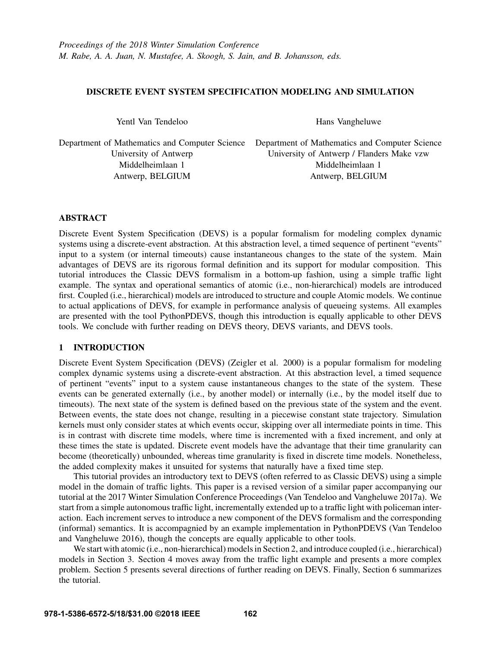## DISCRETE EVENT SYSTEM SPECIFICATION MODELING AND SIMULATION

Yentl Van Tendeloo

Hans Vangheluwe

University of Antwerp Middelheimlaan 1 Antwerp, BELGIUM

Department of Mathematics and Computer Science Department of Mathematics and Computer Science University of Antwerp / Flanders Make vzw Middelheimlaan 1 Antwerp, BELGIUM

## **ABSTRACT**

Discrete Event System Specification (DEVS) is a popular formalism for modeling complex dynamic systems using a discrete-event abstraction. At this abstraction level, a timed sequence of pertinent "events" input to a system (or internal timeouts) cause instantaneous changes to the state of the system. Main advantages of DEVS are its rigorous formal definition and its support for modular composition. This tutorial introduces the Classic DEVS formalism in a bottom-up fashion, using a simple traffic light example. The syntax and operational semantics of atomic (i.e., non-hierarchical) models are introduced first. Coupled (i.e., hierarchical) models are introduced to structure and couple Atomic models. We continue to actual applications of DEVS, for example in performance analysis of queueing systems. All examples are presented with the tool PythonPDEVS, though this introduction is equally applicable to other DEVS tools. We conclude with further reading on DEVS theory, DEVS variants, and DEVS tools.

### 1 INTRODUCTION

Discrete Event System Specification (DEVS) (Zeigler et al. 2000) is a popular formalism for modeling complex dynamic systems using a discrete-event abstraction. At this abstraction level, a timed sequence of pertinent "events" input to a system cause instantaneous changes to the state of the system. These events can be generated externally (i.e., by another model) or internally (i.e., by the model itself due to timeouts). The next state of the system is defined based on the previous state of the system and the event. Between events, the state does not change, resulting in a piecewise constant state trajectory. Simulation kernels must only consider states at which events occur, skipping over all intermediate points in time. This is in contrast with discrete time models, where time is incremented with a fixed increment, and only at these times the state is updated. Discrete event models have the advantage that their time granularity can become (theoretically) unbounded, whereas time granularity is fixed in discrete time models. Nonetheless, the added complexity makes it unsuited for systems that naturally have a fixed time step.

This tutorial provides an introductory text to DEVS (often referred to as Classic DEVS) using a simple model in the domain of traffic lights. This paper is a revised version of a similar paper accompanying our tutorial at the 2017 Winter Simulation Conference Proceedings (Van Tendeloo and Vangheluwe 2017a). We start from a simple autonomous traffic light, incrementally extended up to a traffic light with policeman interaction. Each increment serves to introduce a new component of the DEVS formalism and the corresponding (informal) semantics. It is accompagnied by an example implementation in PythonPDEVS (Van Tendeloo and Vangheluwe 2016), though the concepts are equally applicable to other tools.

We start with atomic (i.e., non-hierarchical) models in Section 2, and introduce coupled (i.e., hierarchical) models in Section 3. Section 4 moves away from the traffic light example and presents a more complex problem. Section 5 presents several directions of further reading on DEVS. Finally, Section 6 summarizes the tutorial.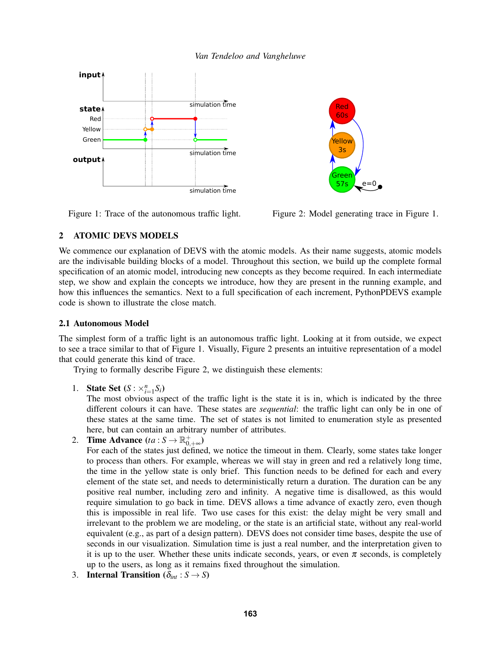

Figure 1: Trace of the autonomous traffic light. Figure 2: Model generating trace in Figure 1.

## 2 ATOMIC DEVS MODELS

We commence our explanation of DEVS with the atomic models. As their name suggests, atomic models are the indivisable building blocks of a model. Throughout this section, we build up the complete formal specification of an atomic model, introducing new concepts as they become required. In each intermediate step, we show and explain the concepts we introduce, how they are present in the running example, and how this influences the semantics. Next to a full specification of each increment, PythonPDEVS example code is shown to illustrate the close match.

## 2.1 Autonomous Model

The simplest form of a traffic light is an autonomous traffic light. Looking at it from outside, we expect to see a trace similar to that of Figure 1. Visually, Figure 2 presents an intuitive representation of a model that could generate this kind of trace.

Trying to formally describe Figure 2, we distinguish these elements:

1. **State Set**  $(S : \times_{i=1}^{n} S_i)$ 

The most obvious aspect of the traffic light is the state it is in, which is indicated by the three different colours it can have. These states are *sequential*: the traffic light can only be in one of these states at the same time. The set of states is not limited to enumeration style as presented here, but can contain an arbitrary number of attributes.

2. **Time Advance**  $(ta: S \to \mathbb{R}^+_{0,+\infty})$ 

For each of the states just defined, we notice the timeout in them. Clearly, some states take longer to process than others. For example, whereas we will stay in green and red a relatively long time, the time in the yellow state is only brief. This function needs to be defined for each and every element of the state set, and needs to deterministically return a duration. The duration can be any positive real number, including zero and infinity. A negative time is disallowed, as this would require simulation to go back in time. DEVS allows a time advance of exactly zero, even though this is impossible in real life. Two use cases for this exist: the delay might be very small and irrelevant to the problem we are modeling, or the state is an artificial state, without any real-world equivalent (e.g., as part of a design pattern). DEVS does not consider time bases, despite the use of seconds in our visualization. Simulation time is just a real number, and the interpretation given to it is up to the user. Whether these units indicate seconds, years, or even  $\pi$  seconds, is completely up to the users, as long as it remains fixed throughout the simulation.

3. **Internal Transition** ( $\delta_{int}: S \rightarrow S$ )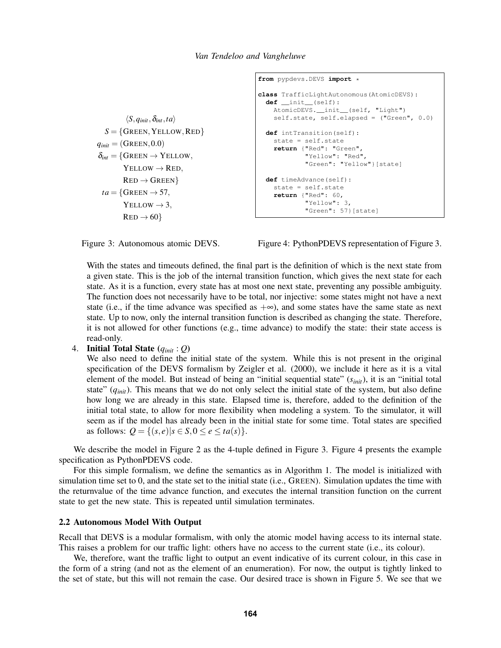```
\langle S, q_{\text{init}}, \delta_{\text{int}}, ta \rangleS = \{GREEN, YELLOW, RED\}q_{init} = (G_{REEN}, 0.0)\delta_{int} = \{GREEN \rightarrow YELLOW,
           YELLOW \rightarrow RED,
           RED \rightarrow GREENta = \{Green \rightarrow 57,YELLOW \rightarrow 3,
           RED \rightarrow 60
```

```
from pypdevs.DEVS import *
class TrafficLightAutonomous(AtomicDEVS):
 def __init__(self):
    AtomicDEVS.__init__(self, "Light")
    self.state, self.elapsed = ("Green", 0.0)
 def intTransition(self):
    state = self.state
    return {"Red": "Green",
            "Yellow": "Red",
            "Green": "Yellow"}[state]
 def timeAdvance(self):
    state = self.state
   return {"Red": 60,
            "Yellow": 3,
            "Green": 57}[state]
```
Figure 3: Autonomous atomic DEVS. Figure 4: PythonPDEVS representation of Figure 3.

With the states and timeouts defined, the final part is the definition of which is the next state from a given state. This is the job of the internal transition function, which gives the next state for each state. As it is a function, every state has at most one next state, preventing any possible ambiguity. The function does not necessarily have to be total, nor injective: some states might not have a next state (i.e., if the time advance was specified as  $+\infty$ ), and some states have the same state as next state. Up to now, only the internal transition function is described as changing the state. Therefore, it is not allowed for other functions (e.g., time advance) to modify the state: their state access is read-only.

### 4. Initial Total State (*qinit* : *Q*)

We also need to define the initial state of the system. While this is not present in the original specification of the DEVS formalism by Zeigler et al. (2000), we include it here as it is a vital element of the model. But instead of being an "initial sequential state" (*sinit*), it is an "initial total state" (*qinit*). This means that we do not only select the initial state of the system, but also define how long we are already in this state. Elapsed time is, therefore, added to the definition of the initial total state, to allow for more flexibility when modeling a system. To the simulator, it will seem as if the model has already been in the initial state for some time. Total states are specified as follows:  $Q = \{(s, e) | s \in S, 0 \le e \le ta(s)\}.$ 

We describe the model in Figure 2 as the 4-tuple defined in Figure 3. Figure 4 presents the example specification as PythonPDEVS code.

For this simple formalism, we define the semantics as in Algorithm 1. The model is initialized with simulation time set to 0, and the state set to the initial state (i.e., GREEN). Simulation updates the time with the returnvalue of the time advance function, and executes the internal transition function on the current state to get the new state. This is repeated until simulation terminates.

#### 2.2 Autonomous Model With Output

Recall that DEVS is a modular formalism, with only the atomic model having access to its internal state. This raises a problem for our traffic light: others have no access to the current state (i.e., its colour).

We, therefore, want the traffic light to output an event indicative of its current colour, in this case in the form of a string (and not as the element of an enumeration). For now, the output is tightly linked to the set of state, but this will not remain the case. Our desired trace is shown in Figure 5. We see that we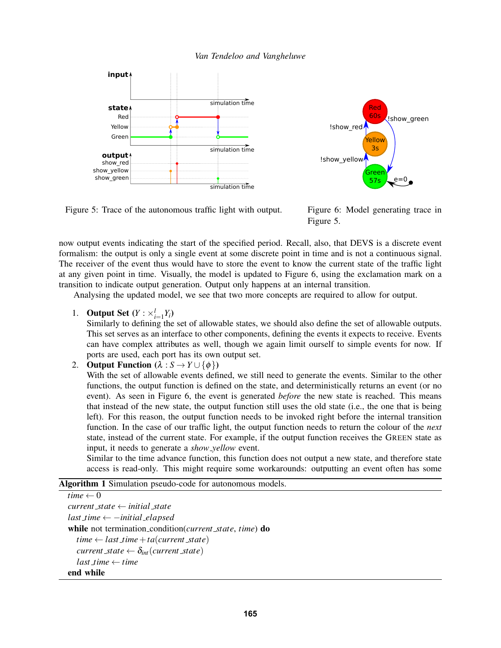



Figure 5.

Red 60s

Ishow green

e=0

*<u>rellow</u>* 3s

Green 57s

Figure 5: Trace of the autonomous traffic light with output. Figure 6: Model generating trace in

now output events indicating the start of the specified period. Recall, also, that DEVS is a discrete event formalism: the output is only a single event at some discrete point in time and is not a continuous signal. The receiver of the event thus would have to store the event to know the current state of the traffic light at any given point in time. Visually, the model is updated to Figure 6, using the exclamation mark on a transition to indicate output generation. Output only happens at an internal transition.

Analysing the updated model, we see that two more concepts are required to allow for output.

1. **Output Set**  $(Y : \times_{i=1}^{l} Y_i)$ 

Similarly to defining the set of allowable states, we should also define the set of allowable outputs. This set serves as an interface to other components, defining the events it expects to receive. Events can have complex attributes as well, though we again limit ourself to simple events for now. If ports are used, each port has its own output set.

2. **Output Function**  $(\lambda : S \rightarrow Y \cup \{\phi\})$ 

With the set of allowable events defined, we still need to generate the events. Similar to the other functions, the output function is defined on the state, and deterministically returns an event (or no event). As seen in Figure 6, the event is generated *before* the new state is reached. This means that instead of the new state, the output function still uses the old state (i.e., the one that is being left). For this reason, the output function needs to be invoked right before the internal transition function. In the case of our traffic light, the output function needs to return the colour of the *next* state, instead of the current state. For example, if the output function receives the GREEN state as input, it needs to generate a *show yellow* event.

Similar to the time advance function, this function does not output a new state, and therefore state access is read-only. This might require some workarounds: outputting an event often has some

# Algorithm 1 Simulation pseudo-code for autonomous models.

| $time \leftarrow 0$                                              |
|------------------------------------------------------------------|
| $current\_state \leftarrow initial\_state$                       |
| $last\_time \leftarrow -initial\_elapsed$                        |
| while not termination_condition( <i>current_state, time</i> ) do |
| $time \leftarrow last\_time + ta(current\_state)$                |
| current_state $\leftarrow \delta_{int}(current\_state)$          |
| $last_time \leftarrow time$                                      |
| end while                                                        |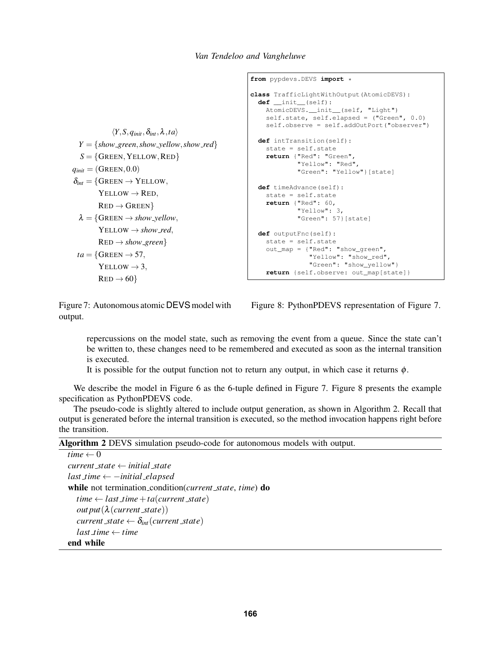**from** pypdevs.DEVS **import** \*

```
\langle Y, S, q_{init}, \delta_{int}, \lambda, ta \rangleY = \{show\_green, show\_yellow, show\_red\}S = \{GREEN, YELLOW, RED\}q_{init} = (GREEN, 0.0)\delta_{int} = \{GREEN \rightarrow YELLOW,
        YELLOW \rightarrow RED,RED \rightarrow GREEN\lambda = \{GREEN \rightarrow show_yellow,
        YELLOW \rightarrow show\_red,RED \rightarrow show\_greenta = \{Green \rightarrow 57,YELLOW \rightarrow 3,
        RED \rightarrow 60class TrafficLightWithOutput(AtomicDEVS):
                                                         def __init__(self):
                                                           AtomicDEVS.__init__(self, "Light")
                                                           self.state, self.elapsed = ("Green", 0.0)
                                                           self.observe = self.addOutPort("observer")
                                                         def intTransition(self):
                                                           state = self.state
                                                           return {"Red": "Green",
                                                                     "Yellow": "Red",
                                                                     "Green": "Yellow"}[state]
                                                         def timeAdvance(self):
                                                           state = self.state
                                                           return {"Red": 60,
                                                                     "Yellow": 3,
                                                                     "Green": 57}[state]
                                                         def outputFnc(self):
                                                           state = self.state
                                                           out_map = {"Red": "show_green",
                                                                        "Yellow": "show_red",
                                                                        "Green": "show_yellow"}
                                                           return {self.observe: out_map[state]}
```
Figure 7: Autonomous atomic DEVS model with output.

Figure 8: PythonPDEVS representation of Figure 7.

repercussions on the model state, such as removing the event from a queue. Since the state can't be written to, these changes need to be remembered and executed as soon as the internal transition is executed.

It is possible for the output function not to return any output, in which case it returns  $\phi$ .

We describe the model in Figure 6 as the 6-tuple defined in Figure 7. Figure 8 presents the example specification as PythonPDEVS code.

The pseudo-code is slightly altered to include output generation, as shown in Algorithm 2. Recall that output is generated before the internal transition is executed, so the method invocation happens right before the transition.

Algorithm 2 DEVS simulation pseudo-code for autonomous models with output.

| time $\leftarrow 0$                                     |
|---------------------------------------------------------|
| current_state $\leftarrow$ initial_state                |
| $last_time \leftarrow -initial\_elapped$                |
| while not termination_condition(current_state, time) do |
| $time \leftarrow last_time + ta(current\_state)$        |
| $output(\lambda(current\_state))$                       |
| current_state $\leftarrow \delta_{int}(current\_state)$ |
| last time $\leftarrow$ time                             |
| end while                                               |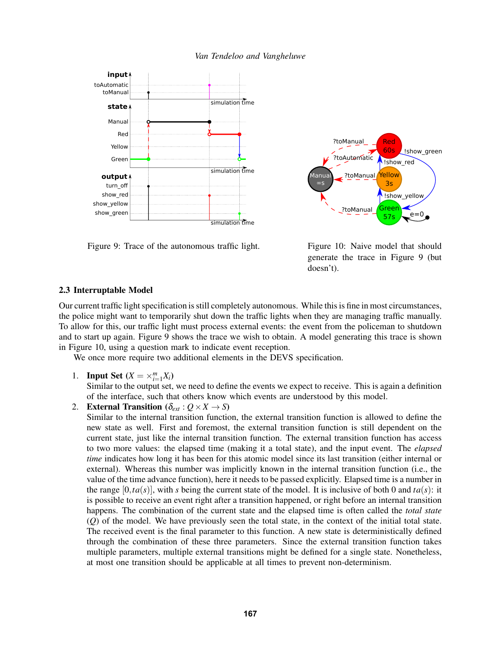





Figure 9: Trace of the autonomous traffic light. Figure 10: Naive model that should

generate the trace in Figure 9 (but doesn't).

# 2.3 Interruptable Model

Our current traffic light specification is still completely autonomous. While this is fine in most circumstances, the police might want to temporarily shut down the traffic lights when they are managing traffic manually. To allow for this, our traffic light must process external events: the event from the policeman to shutdown and to start up again. Figure 9 shows the trace we wish to obtain. A model generating this trace is shown in Figure 10, using a question mark to indicate event reception.

We once more require two additional elements in the DEVS specification.

1. **Input Set**  $(X = \times_{i=1}^{m} X_i)$ 

Similar to the output set, we need to define the events we expect to receive. This is again a definition of the interface, such that others know which events are understood by this model.

2. **External Transition**  $(\delta_{ext} : Q \times X \rightarrow S)$ 

Similar to the internal transition function, the external transition function is allowed to define the new state as well. First and foremost, the external transition function is still dependent on the current state, just like the internal transition function. The external transition function has access to two more values: the elapsed time (making it a total state), and the input event. The *elapsed time* indicates how long it has been for this atomic model since its last transition (either internal or external). Whereas this number was implicitly known in the internal transition function (i.e., the value of the time advance function), here it needs to be passed explicitly. Elapsed time is a number in the range  $[0,ta(s)]$ , with *s* being the current state of the model. It is inclusive of both 0 and  $ta(s)$ : it is possible to receive an event right after a transition happened, or right before an internal transition happens. The combination of the current state and the elapsed time is often called the *total state* (*Q*) of the model. We have previously seen the total state, in the context of the initial total state. The received event is the final parameter to this function. A new state is deterministically defined through the combination of these three parameters. Since the external transition function takes multiple parameters, multiple external transitions might be defined for a single state. Nonetheless, at most one transition should be applicable at all times to prevent non-determinism.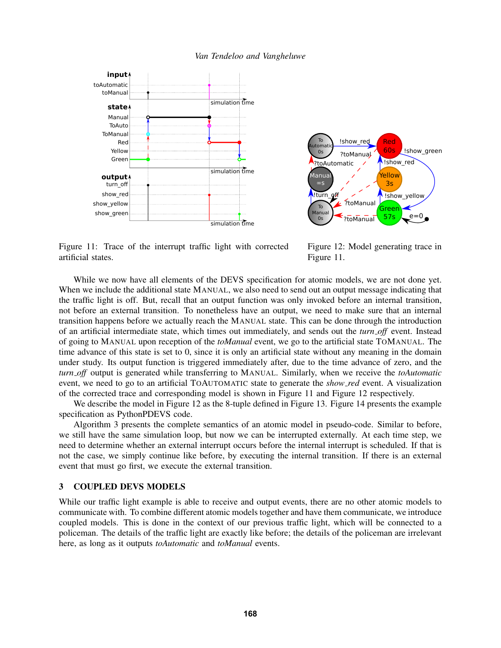





Figure 11: Trace of the interrupt traffic light with corrected artificial states.

Figure 12: Model generating trace in Figure 11.

While we now have all elements of the DEVS specification for atomic models, we are not done yet. When we include the additional state MANUAL, we also need to send out an output message indicating that the traffic light is off. But, recall that an output function was only invoked before an internal transition, not before an external transition. To nonetheless have an output, we need to make sure that an internal transition happens before we actually reach the MANUAL state. This can be done through the introduction of an artificial intermediate state, which times out immediately, and sends out the *turn off* event. Instead of going to MANUAL upon reception of the *toManual* event, we go to the artificial state TOMANUAL. The time advance of this state is set to 0, since it is only an artificial state without any meaning in the domain under study. Its output function is triggered immediately after, due to the time advance of zero, and the *turn off* output is generated while transferring to MANUAL. Similarly, when we receive the *toAutomatic* event, we need to go to an artificial TOAUTOMATIC state to generate the *show red* event. A visualization of the corrected trace and corresponding model is shown in Figure 11 and Figure 12 respectively.

We describe the model in Figure 12 as the 8-tuple defined in Figure 13. Figure 14 presents the example specification as PythonPDEVS code.

Algorithm 3 presents the complete semantics of an atomic model in pseudo-code. Similar to before, we still have the same simulation loop, but now we can be interrupted externally. At each time step, we need to determine whether an external interrupt occurs before the internal interrupt is scheduled. If that is not the case, we simply continue like before, by executing the internal transition. If there is an external event that must go first, we execute the external transition.

## 3 COUPLED DEVS MODELS

While our traffic light example is able to receive and output events, there are no other atomic models to communicate with. To combine different atomic models together and have them communicate, we introduce coupled models. This is done in the context of our previous traffic light, which will be connected to a policeman. The details of the traffic light are exactly like before; the details of the policeman are irrelevant here, as long as it outputs *toAutomatic* and *toManual* events.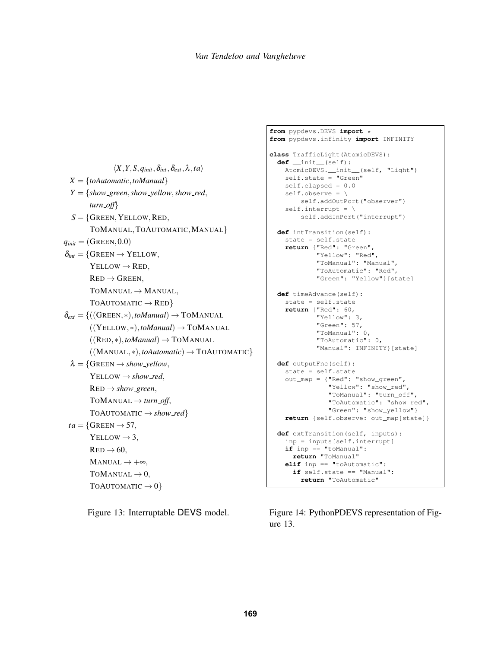```
\langle X, Y, S, q_{\text{init}}, \delta_{\text{int}}, \delta_{\text{ext}}, \lambda, ta \rangleX = {toAutomatic,toManual}
  Y = \{show\_green, show\_yellow, show\_red\}turn off}
  S = \{GREEN, YELLOW, RED,
         TOMANUAL,TOAUTOMATIC,MANUAL}
q_{init} = (GREEN, 0.0)\delta_{int} = \{GREEN \rightarrow YELLOW,
         YELLOW \rightarrow RED,RED \rightarrow GREEN,
         TOMANUAL \rightarrow MANUAL,
         TOAUTOMATIC \rightarrow RED}
\delta_{ext} = \{((\text{Green}, *), \text{toManual}) \rightarrow \text{ToMANUAL}\}((YELLOW,∗),toManual) → TOMANUAL
         ((RED, *), to Manual) \rightarrow TOMANUAL((MANUAL,∗),toAutomatic) → TOAUTOMATIC}
  \lambda = \{GREEN \rightarrow show_yellow,
         YELLOW \rightarrow show\_red,
         RED \rightarrow show\_green,
         TOMANUAL \rightarrow turn\_off,
         ToAUTOMATIC \rightarrow show\_red\}ta = \{GREEN \rightarrow 57,YELLOW \rightarrow 3,
         RED \rightarrow 60,
         MANUAL \rightarrow +\infty,
         TOMANUAL \rightarrow 0,
         TOAUTOMATIC \rightarrow 0
```

```
from pypdevs.DEVS import *
from pypdevs.infinity import INFINITY
class TrafficLight(AtomicDEVS):
 def __init__(self):
   AtomicDEVS.__init__(self, "Light")
   self.state = "Green"
   self.elapsed = 0.0
   self. observe = \sqrt{ }self.addOutPort("observer")
    self.interrupt = \setminusself.addInPort("interrupt")
  def intTransition(self):
    state = self.state
    return {"Red": "Green",
            "Yellow": "Red",
            "ToManual": "Manual",
            "ToAutomatic": "Red",
            "Green": "Yellow"}[state]
 def timeAdvance(self):
    state = self.state
    return {"Red": 60,
            "Yellow": 3,
            "Green": 57,
            "ToManual": 0,
            "ToAutomatic": 0,
            "Manual": INFINITY}[state]
  def outputFnc(self):
    state = self.state
    out_map = {"Red": "show_green",
               "Yellow": "show_red",
               "ToManual": "turn_off",
               "ToAutomatic": "show_red",
               "Green": "show_yellow"}
    return {self.observe: out_map[state]}
  def extTransition(self, inputs):
    inp = inputs[self.interrupt]
    if inp == "toManual":
     return "ToManual"
    elif inp == "toAutomatic":
      if self.state == "Manual":
        return "ToAutomatic"
```

```
Figure 13: Interruptable DEVS model. Figure 14: PythonPDEVS representation of Fig-
                                           ure 13.
```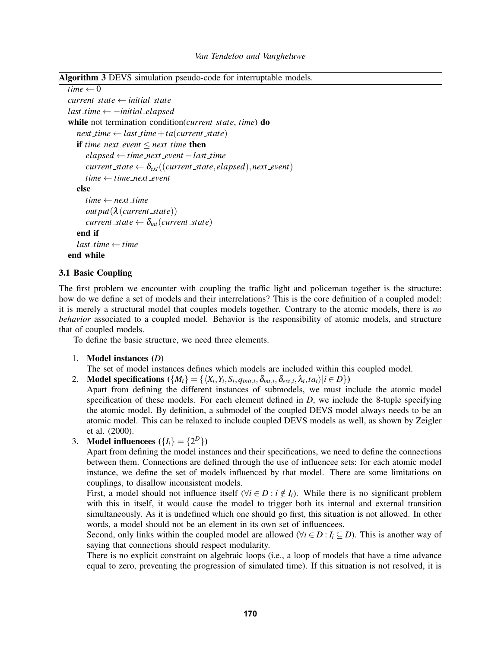| Algorithm 3 DEVS simulation pseudo-code for interruptable models. |  |  |  |
|-------------------------------------------------------------------|--|--|--|
|-------------------------------------------------------------------|--|--|--|

```
time \leftarrow 0current state ← initial state
last time ← −initial elapsed
while not termination condition(current state, time) do
   next_time \leftarrow last_time + ta(current-state)if time next event ≤ next time then
     elapsed ← time next event −last time
     current\_state \leftarrow \delta_{ext}((current\_state, elapsed),next\_event)time ← time next event
  else
     time ← next time
     out put(λ(current state))
     current\_state \leftarrow \delta_{int}(current\_state)end if
   last time ← time
end while
```
### 3.1 Basic Coupling

The first problem we encounter with coupling the traffic light and policeman together is the structure: how do we define a set of models and their interrelations? This is the core definition of a coupled model: it is merely a structural model that couples models together. Contrary to the atomic models, there is *no behavior* associated to a coupled model. Behavior is the responsibility of atomic models, and structure that of coupled models.

To define the basic structure, we need three elements.

1. Model instances (*D*)

The set of model instances defines which models are included within this coupled model.

2. Model specifications  $(\{M_i\} = \{\langle X_i, Y_i, S_i, q_{init,i}, \delta_{int,i}, \delta_{ext,i}, \lambda_i, ta_i \rangle | i \in D\})$ 

Apart from defining the different instances of submodels, we must include the atomic model specification of these models. For each element defined in *D*, we include the 8-tuple specifying the atomic model. By definition, a submodel of the coupled DEVS model always needs to be an atomic model. This can be relaxed to include coupled DEVS models as well, as shown by Zeigler et al. (2000).

3. **Model influencees**  $({I_i} = {2^D})$ 

Apart from defining the model instances and their specifications, we need to define the connections between them. Connections are defined through the use of influencee sets: for each atomic model instance, we define the set of models influenced by that model. There are some limitations on couplings, to disallow inconsistent models.

First, a model should not influence itself ( $\forall i \in D : i \notin I_i$ ). While there is no significant problem with this in itself, it would cause the model to trigger both its internal and external transition simultaneously. As it is undefined which one should go first, this situation is not allowed. In other words, a model should not be an element in its own set of influencees.

Second, only links within the coupled model are allowed ( $\forall i \in D$  : *I<sub>i</sub>*  $\subseteq D$ ). This is another way of saying that connections should respect modularity.

There is no explicit constraint on algebraic loops (i.e., a loop of models that have a time advance equal to zero, preventing the progression of simulated time). If this situation is not resolved, it is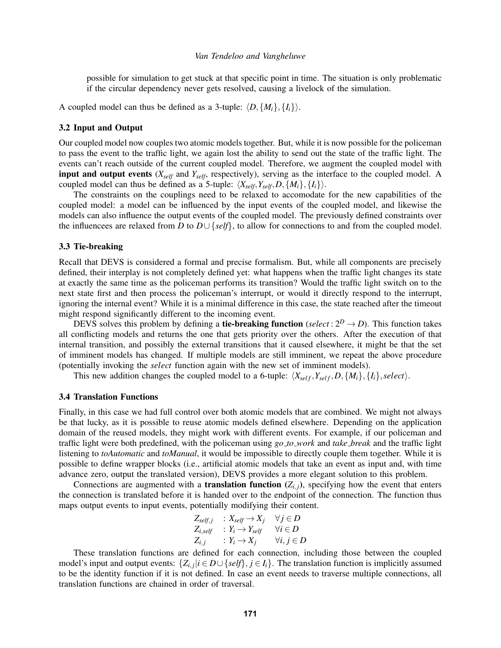possible for simulation to get stuck at that specific point in time. The situation is only problematic if the circular dependency never gets resolved, causing a livelock of the simulation.

A coupled model can thus be defined as a 3-tuple:  $\langle D, \{M_i\}, \{I_i\} \rangle$ .

#### 3.2 Input and Output

Our coupled model now couples two atomic models together. But, while it is now possible for the policeman to pass the event to the traffic light, we again lost the ability to send out the state of the traffic light. The events can't reach outside of the current coupled model. Therefore, we augment the coupled model with input and output events ( $X_{self}$  and  $Y_{self}$ , respectively), serving as the interface to the coupled model. A coupled model can thus be defined as a 5-tuple:  $\langle X_{self}, Y_{self}, D, \{M_i\}, \{I_i\} \rangle$ .

The constraints on the couplings need to be relaxed to accomodate for the new capabilities of the coupled model: a model can be influenced by the input events of the coupled model, and likewise the models can also influence the output events of the coupled model. The previously defined constraints over the influencees are relaxed from *D* to *D*∪ {*self*}, to allow for connections to and from the coupled model.

## 3.3 Tie-breaking

Recall that DEVS is considered a formal and precise formalism. But, while all components are precisely defined, their interplay is not completely defined yet: what happens when the traffic light changes its state at exactly the same time as the policeman performs its transition? Would the traffic light switch on to the next state first and then process the policeman's interrupt, or would it directly respond to the interrupt, ignoring the internal event? While it is a minimal difference in this case, the state reached after the timeout might respond significantly different to the incoming event.

DEVS solves this problem by defining a **tie-breaking function** (*select* :  $2^D \rightarrow D$ ). This function takes all conflicting models and returns the one that gets priority over the others. After the execution of that internal transition, and possibly the external transitions that it caused elsewhere, it might be that the set of imminent models has changed. If multiple models are still imminent, we repeat the above procedure (potentially invoking the *select* function again with the new set of imminent models).

This new addition changes the coupled model to a 6-tuple:  $\langle X_{self}, Y_{self}, D, \{M_i\}, \{I_i\}, select \rangle$ .

### 3.4 Translation Functions

Finally, in this case we had full control over both atomic models that are combined. We might not always be that lucky, as it is possible to reuse atomic models defined elsewhere. Depending on the application domain of the reused models, they might work with different events. For example, if our policeman and traffic light were both predefined, with the policeman using *go to work* and *take break* and the traffic light listening to *toAutomatic* and *toManual*, it would be impossible to directly couple them together. While it is possible to define wrapper blocks (i.e., artificial atomic models that take an event as input and, with time advance zero, output the translated version), DEVS provides a more elegant solution to this problem.

Connections are augmented with a **translation function**  $(Z_{i,j})$ , specifying how the event that enters the connection is translated before it is handed over to the endpoint of the connection. The function thus maps output events to input events, potentially modifying their content.

$$
Z_{self,j} : X_{self} \rightarrow X_j \quad \forall j \in D
$$
  
\n
$$
Z_{i, self} : Y_i \rightarrow Y_{self} \quad \forall i \in D
$$
  
\n
$$
Z_{i,j} : Y_i \rightarrow X_j \quad \forall i, j \in D
$$

These translation functions are defined for each connection, including those between the coupled model's input and output events:  $\{Z_{i,j}|i \in D \cup \{self\}, j \in I_i\}$ . The translation function is implicitly assumed to be the identity function if it is not defined. In case an event needs to traverse multiple connections, all translation functions are chained in order of traversal.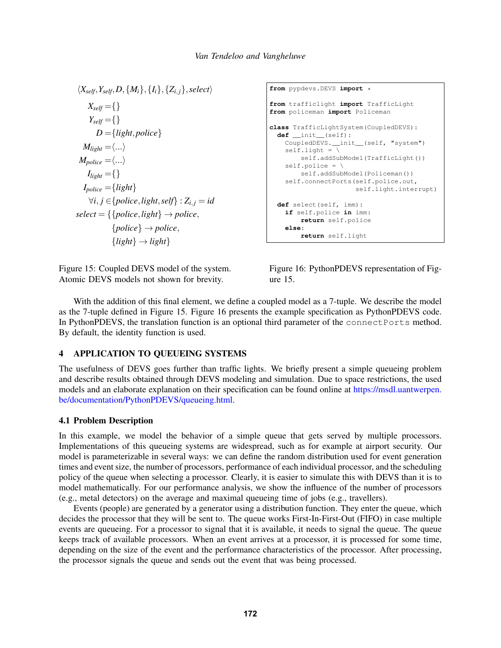```
\langle X_{self}, Y_{self}, D, \{M_i\}, \{I_i\}, \{Z_{i,j}\}, select\rangleX_{self} = \{\}Y_{\text{self}} = \{\}D = \{light, police\}M_{light} = \langle ... \rangleM_{policy} = \langle ... \rangleI_{light} = \{\}I_{policy} = \{light\}∀i, j ∈{police,light,self} : Zi, j = id
select = \{\{police, light\} \rightarrow police,{police} \rightarrow police,{light} \rightarrow light
```

```
from pypdevs.DEVS import *
from trafficlight import TrafficLight
from policeman import Policeman
class TrafficLightSystem(CoupledDEVS):
  def __init__(self):
    CoupledDEVS.__init__(self, "system")
    selfuint = \sqrt{ }self.addSubModel(TrafficLight())
    self.police = \setminusself.addSubModel(Policeman())
    self.connectPorts(self.police.out,
                      self.light.interrupt)
  def select(self, imm):
    if self.police in imm:
        return self.police
    else:
        return self.light
```
Figure 15: Coupled DEVS model of the system. Atomic DEVS models not shown for brevity.

Figure 16: PythonPDEVS representation of Figure 15.

With the addition of this final element, we define a coupled model as a 7-tuple. We describe the model as the 7-tuple defined in Figure 15. Figure 16 presents the example specification as PythonPDEVS code. In PythonPDEVS, the translation function is an optional third parameter of the connectPorts method. By default, the identity function is used.

# 4 APPLICATION TO QUEUEING SYSTEMS

The usefulness of DEVS goes further than traffic lights. We briefly present a simple queueing problem and describe results obtained through DEVS modeling and simulation. Due to space restrictions, the used models and an elaborate explanation on their specification can be found online at https://msdl.uantwerpen. be/documentation/PythonPDEVS/queueing.html.

### 4.1 Problem Description

In this example, we model the behavior of a simple queue that gets served by multiple processors. Implementations of this queueing systems are widespread, such as for example at airport security. Our model is parameterizable in several ways: we can define the random distribution used for event generation times and event size, the number of processors, performance of each individual processor, and the scheduling policy of the queue when selecting a processor. Clearly, it is easier to simulate this with DEVS than it is to model mathematically. For our performance analysis, we show the influence of the number of processors (e.g., metal detectors) on the average and maximal queueing time of jobs (e.g., travellers).

Events (people) are generated by a generator using a distribution function. They enter the queue, which decides the processor that they will be sent to. The queue works First-In-First-Out (FIFO) in case multiple events are queueing. For a processor to signal that it is available, it needs to signal the queue. The queue keeps track of available processors. When an event arrives at a processor, it is processed for some time, depending on the size of the event and the performance characteristics of the processor. After processing, the processor signals the queue and sends out the event that was being processed.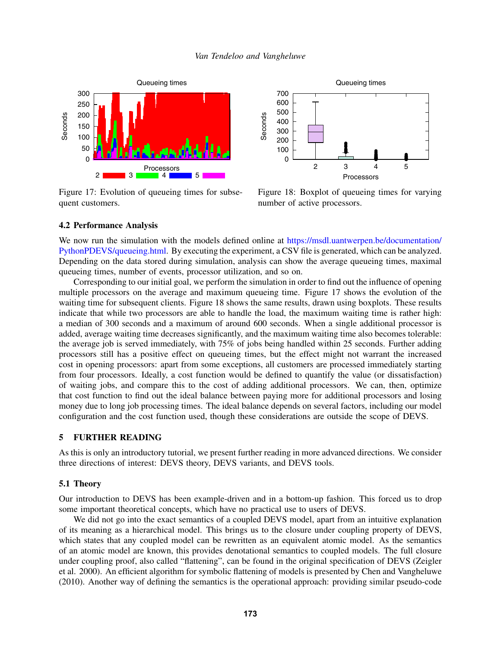

Figure 17: Evolution of queueing times for subsequent customers.



Figure 18: Boxplot of queueing times for varying number of active processors.

## 4.2 Performance Analysis

We now run the simulation with the models defined online at https://msdl.uantwerpen.be/documentation/ PythonPDEVS/queueing.html. By executing the experiment, a CSV file is generated, which can be analyzed. Depending on the data stored during simulation, analysis can show the average queueing times, maximal queueing times, number of events, processor utilization, and so on.

Corresponding to our initial goal, we perform the simulation in order to find out the influence of opening multiple processors on the average and maximum queueing time. Figure 17 shows the evolution of the waiting time for subsequent clients. Figure 18 shows the same results, drawn using boxplots. These results indicate that while two processors are able to handle the load, the maximum waiting time is rather high: a median of 300 seconds and a maximum of around 600 seconds. When a single additional processor is added, average waiting time decreases significantly, and the maximum waiting time also becomes tolerable: the average job is served immediately, with 75% of jobs being handled within 25 seconds. Further adding processors still has a positive effect on queueing times, but the effect might not warrant the increased cost in opening processors: apart from some exceptions, all customers are processed immediately starting from four processors. Ideally, a cost function would be defined to quantify the value (or dissatisfaction) of waiting jobs, and compare this to the cost of adding additional processors. We can, then, optimize that cost function to find out the ideal balance between paying more for additional processors and losing money due to long job processing times. The ideal balance depends on several factors, including our model configuration and the cost function used, though these considerations are outside the scope of DEVS.

## 5 FURTHER READING

As this is only an introductory tutorial, we present further reading in more advanced directions. We consider three directions of interest: DEVS theory, DEVS variants, and DEVS tools.

#### 5.1 Theory

Our introduction to DEVS has been example-driven and in a bottom-up fashion. This forced us to drop some important theoretical concepts, which have no practical use to users of DEVS.

We did not go into the exact semantics of a coupled DEVS model, apart from an intuitive explanation of its meaning as a hierarchical model. This brings us to the closure under coupling property of DEVS, which states that any coupled model can be rewritten as an equivalent atomic model. As the semantics of an atomic model are known, this provides denotational semantics to coupled models. The full closure under coupling proof, also called "flattening", can be found in the original specification of DEVS (Zeigler et al. 2000). An efficient algorithm for symbolic flattening of models is presented by Chen and Vangheluwe (2010). Another way of defining the semantics is the operational approach: providing similar pseudo-code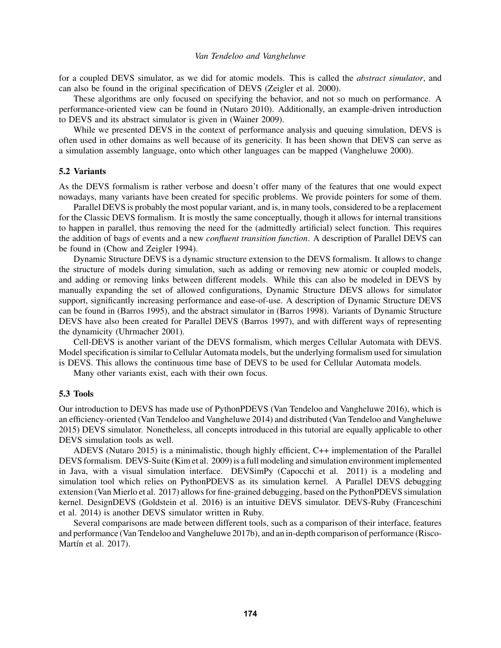for a coupled DEVS simulator, as we did for atomic models. This is called the *abstract simulator*, and can also be found in the original specification of DEVS (Zeigler et al. 2000).

These algorithms are only focused on specifying the behavior, and not so much on performance. A performance-oriented view can be found in (Nutaro 2010). Additionally, an example-driven introduction to DEVS and its abstract simulator is given in (Wainer 2009).

While we presented DEVS in the context of performance analysis and queuing simulation, DEVS is often used in other domains as well because of its genericity. It has been shown that DEVS can serve as a simulation assembly language, onto which other languages can be mapped (Vangheluwe 2000).

### 5.2 Variants

As the DEVS formalism is rather verbose and doesn't offer many of the features that one would expect nowadays, many variants have been created for specific problems. We provide pointers for some of them.

Parallel DEVS is probably the most popular variant, and is, in many tools, considered to be a replacement for the Classic DEVS formalism. It is mostly the same conceptually, though it allows for internal transitions to happen in parallel, thus removing the need for the (admittedly artificial) select function. This requires the addition of bags of events and a new *confluent transition function*. A description of Parallel DEVS can be found in (Chow and Zeigler 1994).

Dynamic Structure DEVS is a dynamic structure extension to the DEVS formalism. It allows to change the structure of models during simulation, such as adding or removing new atomic or coupled models, and adding or removing links between different models. While this can also be modeled in DEVS by manually expanding the set of allowed configurations, Dynamic Structure DEVS allows for simulator support, significantly increasing performance and ease-of-use. A description of Dynamic Structure DEVS can be found in (Barros 1995), and the abstract simulator in (Barros 1998). Variants of Dynamic Structure DEVS have also been created for Parallel DEVS (Barros 1997), and with different ways of representing the dynamicity (Uhrmacher 2001).

Cell-DEVS is another variant of the DEVS formalism, which merges Cellular Automata with DEVS. Model specification is similar to Cellular Automata models, but the underlying formalism used for simulation is DEVS. This allows the continuous time base of DEVS to be used for Cellular Automata models.

Many other variants exist, each with their own focus.

#### 5.3 Tools

Our introduction to DEVS has made use of PythonPDEVS (Van Tendeloo and Vangheluwe 2016), which is an efficiency-oriented (Van Tendeloo and Vangheluwe 2014) and distributed (Van Tendeloo and Vangheluwe 2015) DEVS simulator. Nonetheless, all concepts introduced in this tutorial are equally applicable to other DEVS simulation tools as well.

ADEVS (Nutaro 2015) is a minimalistic, though highly efficient, C++ implementation of the Parallel DEVS formalism. DEVS-Suite (Kim et al. 2009) is a full modeling and simulation environment implemented in Java, with a visual simulation interface. DEVSimPy (Capocchi et al. 2011) is a modeling and simulation tool which relies on PythonPDEVS as its simulation kernel. A Parallel DEVS debugging extension (Van Mierlo et al. 2017) allows for fine-grained debugging, based on the PythonPDEVS simulation kernel. DesignDEVS (Goldstein et al. 2016) is an intuitive DEVS simulator. DEVS-Ruby (Franceschini et al. 2014) is another DEVS simulator written in Ruby.

Several comparisons are made between different tools, such as a comparison of their interface, features and performance (Van Tendeloo and Vangheluwe 2017b), and an in-depth comparison of performance (Risco-Martín et al. 2017).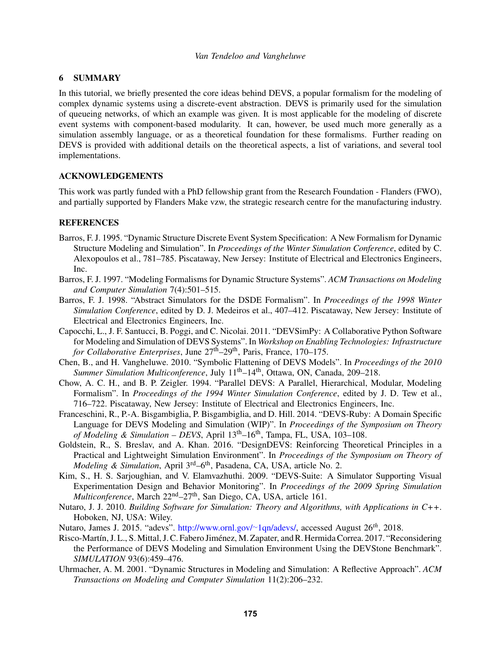# 6 SUMMARY

In this tutorial, we briefly presented the core ideas behind DEVS, a popular formalism for the modeling of complex dynamic systems using a discrete-event abstraction. DEVS is primarily used for the simulation of queueing networks, of which an example was given. It is most applicable for the modeling of discrete event systems with component-based modularity. It can, however, be used much more generally as a simulation assembly language, or as a theoretical foundation for these formalisms. Further reading on DEVS is provided with additional details on the theoretical aspects, a list of variations, and several tool implementations.

# ACKNOWLEDGEMENTS

This work was partly funded with a PhD fellowship grant from the Research Foundation - Flanders (FWO), and partially supported by Flanders Make vzw, the strategic research centre for the manufacturing industry.

# **REFERENCES**

- Barros, F. J. 1995. "Dynamic Structure Discrete Event System Specification: A New Formalism for Dynamic Structure Modeling and Simulation". In *Proceedings of the Winter Simulation Conference*, edited by C. Alexopoulos et al., 781–785. Piscataway, New Jersey: Institute of Electrical and Electronics Engineers, Inc.
- Barros, F. J. 1997. "Modeling Formalisms for Dynamic Structure Systems". *ACM Transactions on Modeling and Computer Simulation* 7(4):501–515.
- Barros, F. J. 1998. "Abstract Simulators for the DSDE Formalism". In *Proceedings of the 1998 Winter Simulation Conference*, edited by D. J. Medeiros et al., 407–412. Piscataway, New Jersey: Institute of Electrical and Electronics Engineers, Inc.
- Capocchi, L., J. F. Santucci, B. Poggi, and C. Nicolai. 2011. "DEVSimPy: A Collaborative Python Software for Modeling and Simulation of DEVS Systems". In *Workshop on Enabling Technologies: Infrastructure for Collaborative Enterprises*, June 27th–29th, Paris, France, 170–175.
- Chen, B., and H. Vangheluwe. 2010. "Symbolic Flattening of DEVS Models". In *Proceedings of the 2010 Summer Simulation Multiconference*, July 11<sup>th</sup>–14<sup>th</sup>, Ottawa, ON, Canada, 209–218.
- Chow, A. C. H., and B. P. Zeigler. 1994. "Parallel DEVS: A Parallel, Hierarchical, Modular, Modeling Formalism". In *Proceedings of the 1994 Winter Simulation Conference*, edited by J. D. Tew et al., 716–722. Piscataway, New Jersey: Institute of Electrical and Electronics Engineers, Inc.
- Franceschini, R., P.-A. Bisgambiglia, P. Bisgambiglia, and D. Hill. 2014. "DEVS-Ruby: A Domain Specific Language for DEVS Modeling and Simulation (WIP)". In *Proceedings of the Symposium on Theory of Modeling & Simulation – DEVS*, April 13th–16th, Tampa, FL, USA, 103–108.
- Goldstein, R., S. Breslav, and A. Khan. 2016. "DesignDEVS: Reinforcing Theoretical Principles in a Practical and Lightweight Simulation Environment". In *Proceedings of the Symposium on Theory of Modeling & Simulation*, April 3<sup>rd</sup>–6<sup>th</sup>, Pasadena, CA, USA, article No. 2.
- Kim, S., H. S. Sarjoughian, and V. Elamvazhuthi. 2009. "DEVS-Suite: A Simulator Supporting Visual Experimentation Design and Behavior Monitoring". In *Proceedings of the 2009 Spring Simulation Multiconference*, March 22nd–27th, San Diego, CA, USA, article 161.
- Nutaro, J. J. 2010. *Building Software for Simulation: Theory and Algorithms, with Applications in C++*. Hoboken, NJ, USA: Wiley.
- Nutaro, James J. 2015. "adevs". http://www.ornl.gov/∼1qn/adevs/, accessed August 26*th*, 2018.
- Risco-Martín, J. L., S. Mittal, J. C. Fabero Jiménez, M. Zapater, and R. Hermida Correa. 2017. "Reconsidering the Performance of DEVS Modeling and Simulation Environment Using the DEVStone Benchmark". *SIMULATION* 93(6):459–476.
- Uhrmacher, A. M. 2001. "Dynamic Structures in Modeling and Simulation: A Reflective Approach". *ACM Transactions on Modeling and Computer Simulation* 11(2):206–232.